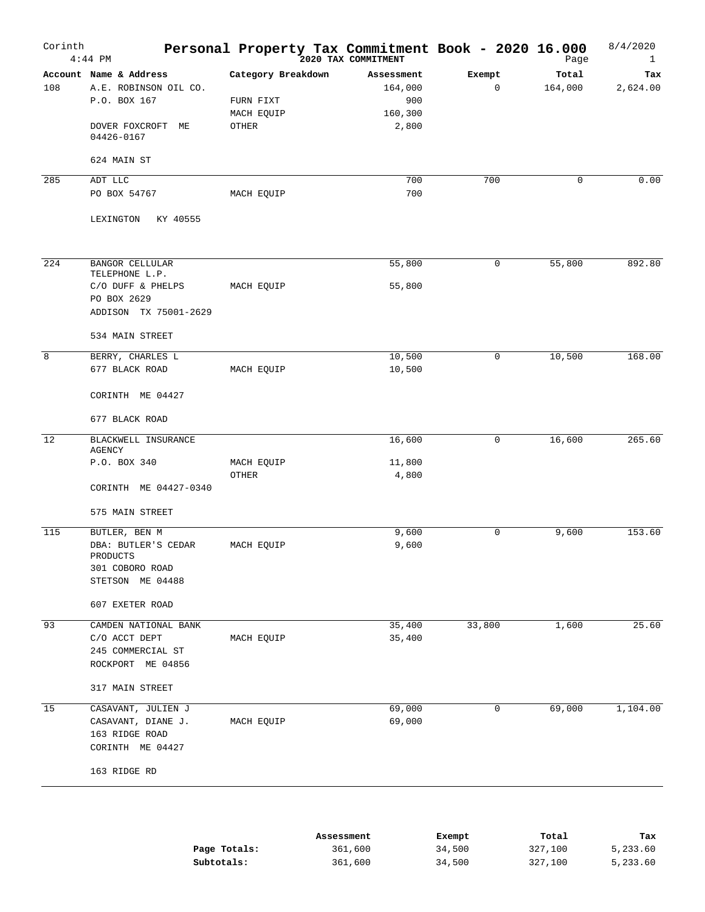| Corinth | $4:44$ PM                           | Personal Property Tax Commitment Book - 2020 16.000 | 2020 TAX COMMITMENT |        | Page        | 8/4/2020<br>$\mathbf{1}$ |
|---------|-------------------------------------|-----------------------------------------------------|---------------------|--------|-------------|--------------------------|
|         | Account Name & Address              | Category Breakdown                                  | Assessment          | Exempt | Total       | Tax                      |
| 108     | A.E. ROBINSON OIL CO.               |                                                     | 164,000             | 0      | 164,000     | 2,624.00                 |
|         | P.O. BOX 167                        | FURN FIXT                                           | 900                 |        |             |                          |
|         |                                     | MACH EQUIP                                          | 160,300             |        |             |                          |
|         | DOVER FOXCROFT<br>МE<br>04426-0167  | OTHER                                               | 2,800               |        |             |                          |
|         | 624 MAIN ST                         |                                                     |                     |        |             |                          |
| 285     | ADT LLC                             |                                                     | 700                 | 700    | $\mathbf 0$ | 0.00                     |
|         | PO BOX 54767                        | MACH EQUIP                                          | 700                 |        |             |                          |
|         | KY 40555<br>LEXINGTON               |                                                     |                     |        |             |                          |
| 224     | <b>BANGOR CELLULAR</b>              |                                                     | 55,800              | 0      | 55,800      | 892.80                   |
|         | TELEPHONE L.P.<br>C/O DUFF & PHELPS | MACH EQUIP                                          | 55,800              |        |             |                          |
|         | PO BOX 2629                         |                                                     |                     |        |             |                          |
|         | ADDISON TX 75001-2629               |                                                     |                     |        |             |                          |
|         | 534 MAIN STREET                     |                                                     |                     |        |             |                          |
| 8       | BERRY, CHARLES L                    |                                                     | 10,500              | 0      | 10,500      | 168.00                   |
|         | 677 BLACK ROAD                      | MACH EQUIP                                          | 10,500              |        |             |                          |
|         | CORINTH ME 04427                    |                                                     |                     |        |             |                          |
|         | 677 BLACK ROAD                      |                                                     |                     |        |             |                          |
| 12      | BLACKWELL INSURANCE<br>AGENCY       |                                                     | 16,600              | 0      | 16,600      | 265.60                   |
|         | P.O. BOX 340                        | MACH EQUIP                                          | 11,800              |        |             |                          |
|         |                                     | OTHER                                               | 4,800               |        |             |                          |
|         | CORINTH ME 04427-0340               |                                                     |                     |        |             |                          |
|         | 575 MAIN STREET                     |                                                     |                     |        |             |                          |
| 115     | BUTLER, BEN M                       |                                                     | 9,600               | 0      | 9,600       | 153.60                   |
|         | DBA: BUTLER'S CEDAR                 | MACH EQUIP                                          | 9,600               |        |             |                          |
|         | PRODUCTS                            |                                                     |                     |        |             |                          |
|         | 301 COBORO ROAD                     |                                                     |                     |        |             |                          |
|         | STETSON ME 04488                    |                                                     |                     |        |             |                          |
|         | 607 EXETER ROAD                     |                                                     |                     |        |             |                          |
| 93      | CAMDEN NATIONAL BANK                |                                                     | 35,400              | 33,800 | 1,600       | 25.60                    |
|         | C/O ACCT DEPT                       | MACH EQUIP                                          | 35,400              |        |             |                          |
|         | 245 COMMERCIAL ST                   |                                                     |                     |        |             |                          |
|         | ROCKPORT ME 04856                   |                                                     |                     |        |             |                          |
|         | 317 MAIN STREET                     |                                                     |                     |        |             |                          |
| 15      | CASAVANT, JULIEN J                  |                                                     | 69,000              | 0      | 69,000      | 1,104.00                 |
|         | CASAVANT, DIANE J.                  | MACH EQUIP                                          | 69,000              |        |             |                          |
|         | 163 RIDGE ROAD                      |                                                     |                     |        |             |                          |
|         | CORINTH ME 04427                    |                                                     |                     |        |             |                          |
|         | 163 RIDGE RD                        |                                                     |                     |        |             |                          |
|         |                                     |                                                     |                     |        |             |                          |

|              | Assessment | Exempt | Total   | тах      |
|--------------|------------|--------|---------|----------|
| Page Totals: | 361,600    | 34,500 | 327,100 | 5,233.60 |
| Subtotals:   | 361,600    | 34,500 | 327,100 | 5,233.60 |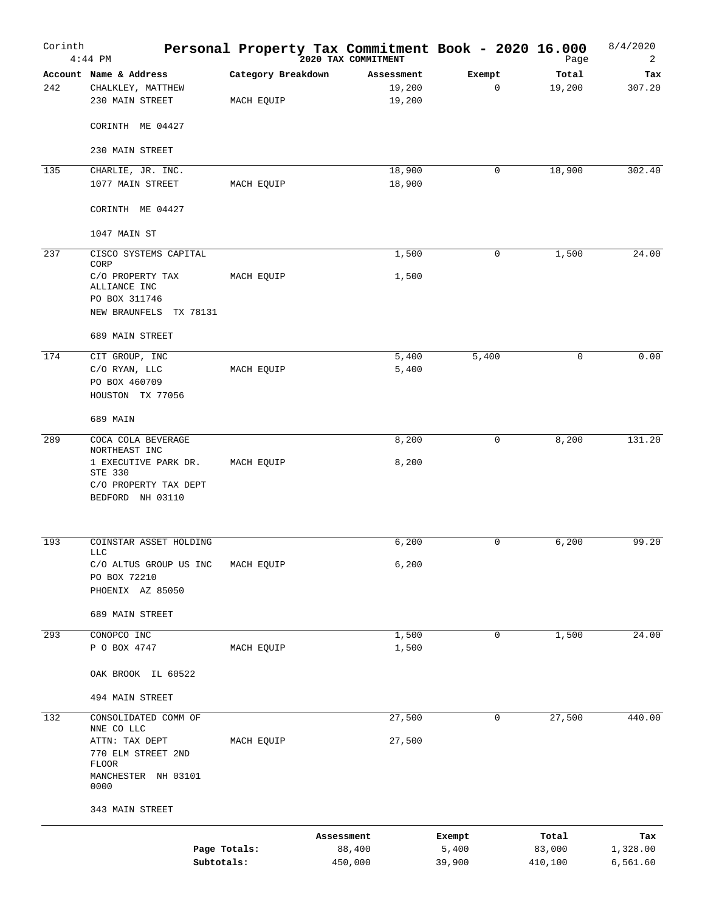| Corinth | $4:44$ PM                                                                    |                                  | Personal Property Tax Commitment Book - 2020 16.000 |                       | Page               | 8/4/2020<br>2        |
|---------|------------------------------------------------------------------------------|----------------------------------|-----------------------------------------------------|-----------------------|--------------------|----------------------|
| 242     | Account Name & Address<br>CHALKLEY, MATTHEW<br>230 MAIN STREET               | Category Breakdown<br>MACH EQUIP | Assessment<br>19,200<br>19,200                      | Exempt<br>$\mathbf 0$ | Total<br>19,200    | Tax<br>307.20        |
|         | CORINTH ME 04427                                                             |                                  |                                                     |                       |                    |                      |
|         | 230 MAIN STREET                                                              |                                  |                                                     |                       |                    |                      |
| 135     | CHARLIE, JR. INC.<br>1077 MAIN STREET                                        | MACH EQUIP                       | 18,900<br>18,900                                    | 0                     | 18,900             | 302.40               |
|         | CORINTH ME 04427                                                             |                                  |                                                     |                       |                    |                      |
|         | 1047 MAIN ST                                                                 |                                  |                                                     |                       |                    |                      |
| 237     | CISCO SYSTEMS CAPITAL<br>CORP                                                |                                  | 1,500                                               | 0                     | 1,500              | 24.00                |
|         | C/O PROPERTY TAX<br>ALLIANCE INC<br>PO BOX 311746<br>NEW BRAUNFELS TX 78131  | MACH EQUIP                       | 1,500                                               |                       |                    |                      |
|         | 689 MAIN STREET                                                              |                                  |                                                     |                       |                    |                      |
| 174     | CIT GROUP, INC<br>C/O RYAN, LLC<br>PO BOX 460709                             | MACH EQUIP                       | 5,400<br>5,400                                      | 5,400                 | 0                  | 0.00                 |
|         | HOUSTON TX 77056<br>689 MAIN                                                 |                                  |                                                     |                       |                    |                      |
| 289     | COCA COLA BEVERAGE<br>NORTHEAST INC                                          |                                  | 8,200                                               | $\mathbf 0$           | 8,200              | 131.20               |
|         | 1 EXECUTIVE PARK DR.<br>STE 330<br>C/O PROPERTY TAX DEPT<br>BEDFORD NH 03110 | MACH EQUIP                       | 8,200                                               |                       |                    |                      |
| 193     | COINSTAR ASSET HOLDING<br><b>LLC</b>                                         |                                  | 6,200                                               | 0                     | 6,200              | 99.20                |
|         | C/O ALTUS GROUP US INC<br>PO BOX 72210                                       | MACH EQUIP                       | 6,200                                               |                       |                    |                      |
|         | PHOENIX AZ 85050                                                             |                                  |                                                     |                       |                    |                      |
|         | 689 MAIN STREET                                                              |                                  |                                                     |                       |                    |                      |
| 293     | CONOPCO INC<br>P O BOX 4747                                                  | MACH EQUIP                       | 1,500<br>1,500                                      | 0                     | 1,500              | 24.00                |
|         | OAK BROOK IL 60522                                                           |                                  |                                                     |                       |                    |                      |
|         | 494 MAIN STREET                                                              |                                  |                                                     |                       |                    |                      |
| 132     | CONSOLIDATED COMM OF<br>NNE CO LLC                                           |                                  | 27,500                                              | 0                     | 27,500             | 440.00               |
|         | ATTN: TAX DEPT<br>770 ELM STREET 2ND<br>FLOOR<br>MANCHESTER NH 03101<br>0000 | MACH EQUIP                       | 27,500                                              |                       |                    |                      |
|         | 343 MAIN STREET                                                              |                                  |                                                     |                       |                    |                      |
|         |                                                                              |                                  | Assessment                                          | Exempt                | Total              | Tax                  |
|         | Page Totals:<br>Subtotals:                                                   |                                  | 88,400<br>450,000                                   | 5,400<br>39,900       | 83,000<br>410, 100 | 1,328.00<br>6,561.60 |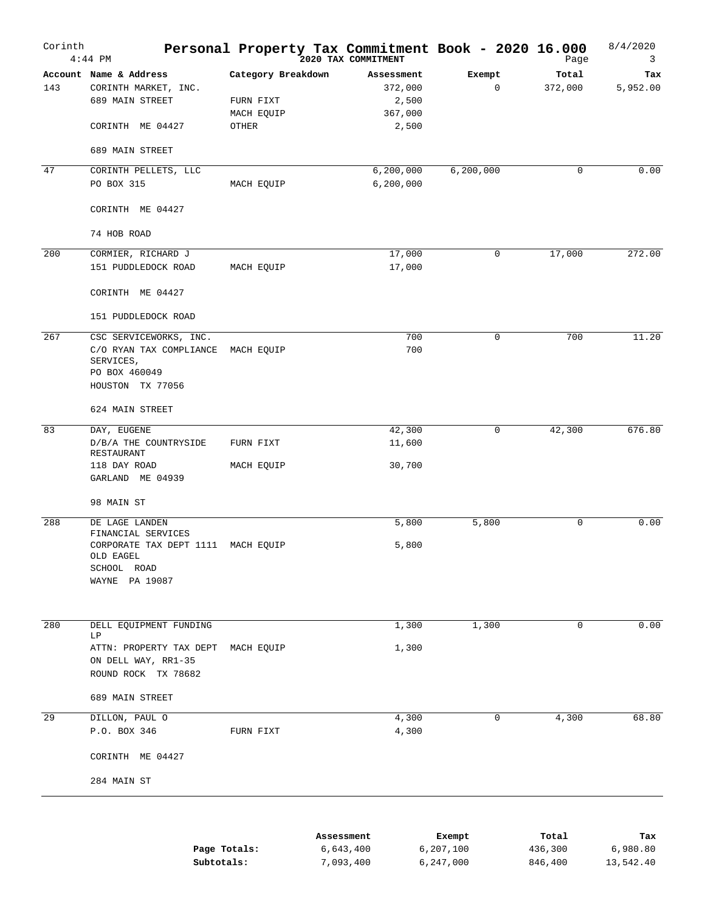| Corinth | $4:44$ PM                                                                                           |                                               | Personal Property Tax Commitment Book - 2020 16.000<br>2020 TAX COMMITMENT |                       | Page             | 8/4/2020<br>3   |
|---------|-----------------------------------------------------------------------------------------------------|-----------------------------------------------|----------------------------------------------------------------------------|-----------------------|------------------|-----------------|
| 143     | Account Name & Address<br>CORINTH MARKET, INC.<br>689 MAIN STREET                                   | Category Breakdown<br>FURN FIXT<br>MACH EQUIP | Assessment<br>372,000<br>2,500<br>367,000                                  | Exempt<br>$\mathbf 0$ | Total<br>372,000 | Tax<br>5,952.00 |
|         | CORINTH ME 04427                                                                                    | OTHER                                         | 2,500                                                                      |                       |                  |                 |
|         | 689 MAIN STREET                                                                                     |                                               |                                                                            |                       |                  |                 |
| 47      | CORINTH PELLETS, LLC<br>PO BOX 315                                                                  | MACH EQUIP                                    | 6, 200, 000<br>6, 200, 000                                                 | 6, 200, 000           | $\mathbf 0$      | 0.00            |
|         | CORINTH ME 04427                                                                                    |                                               |                                                                            |                       |                  |                 |
|         | 74 HOB ROAD                                                                                         |                                               |                                                                            |                       |                  |                 |
| 200     | CORMIER, RICHARD J<br>151 PUDDLEDOCK ROAD                                                           | MACH EQUIP                                    | 17,000<br>17,000                                                           | 0                     | 17,000           | 272.00          |
|         | CORINTH ME 04427                                                                                    |                                               |                                                                            |                       |                  |                 |
|         | 151 PUDDLEDOCK ROAD                                                                                 |                                               |                                                                            |                       |                  |                 |
| 267     | CSC SERVICEWORKS, INC.<br>C/O RYAN TAX COMPLIANCE<br>SERVICES,<br>PO BOX 460049<br>HOUSTON TX 77056 | MACH EQUIP                                    | 700<br>700                                                                 | $\mathbf 0$           | 700              | 11.20           |
|         | 624 MAIN STREET                                                                                     |                                               |                                                                            |                       |                  |                 |
| 83      | DAY, EUGENE<br>D/B/A THE COUNTRYSIDE<br>RESTAURANT                                                  | FURN FIXT                                     | 42,300<br>11,600                                                           | 0                     | 42,300           | 676.80          |
|         | 118 DAY ROAD<br>GARLAND ME 04939                                                                    | MACH EQUIP                                    | 30,700                                                                     |                       |                  |                 |
|         | 98 MAIN ST                                                                                          |                                               |                                                                            |                       |                  |                 |
| 288     | DE LAGE LANDEN<br>FINANCIAL SERVICES                                                                |                                               | 5,800                                                                      | 5,800                 | 0                | 0.00            |
|         | CORPORATE TAX DEPT 1111<br>OLD EAGEL<br>SCHOOL ROAD<br>WAYNE PA 19087                               | MACH EQUIP                                    | 5,800                                                                      |                       |                  |                 |
|         |                                                                                                     |                                               |                                                                            |                       |                  |                 |
| 280     | DELL EQUIPMENT FUNDING<br>LΡ                                                                        |                                               | 1,300                                                                      | 1,300                 | $\mathbf 0$      | 0.00            |
|         | ATTN: PROPERTY TAX DEPT<br>ON DELL WAY, RR1-35<br>ROUND ROCK TX 78682                               | MACH EQUIP                                    | 1,300                                                                      |                       |                  |                 |
|         | 689 MAIN STREET                                                                                     |                                               |                                                                            |                       |                  |                 |
| 29      | DILLON, PAUL O<br>P.O. BOX 346                                                                      | FURN FIXT                                     | 4,300<br>4,300                                                             | 0                     | 4,300            | 68.80           |
|         | CORINTH ME 04427                                                                                    |                                               |                                                                            |                       |                  |                 |
|         | 284 MAIN ST                                                                                         |                                               |                                                                            |                       |                  |                 |
|         |                                                                                                     |                                               | Assessment                                                                 | Exempt                | Total            | Tax             |

|              |           | -------   | -----   | ----      |
|--------------|-----------|-----------|---------|-----------|
| Page Totals: | 6,643,400 | 6,207,100 | 436,300 | 6,980.80  |
| Subtotals:   | 7,093,400 | 6,247,000 | 846,400 | 13,542.40 |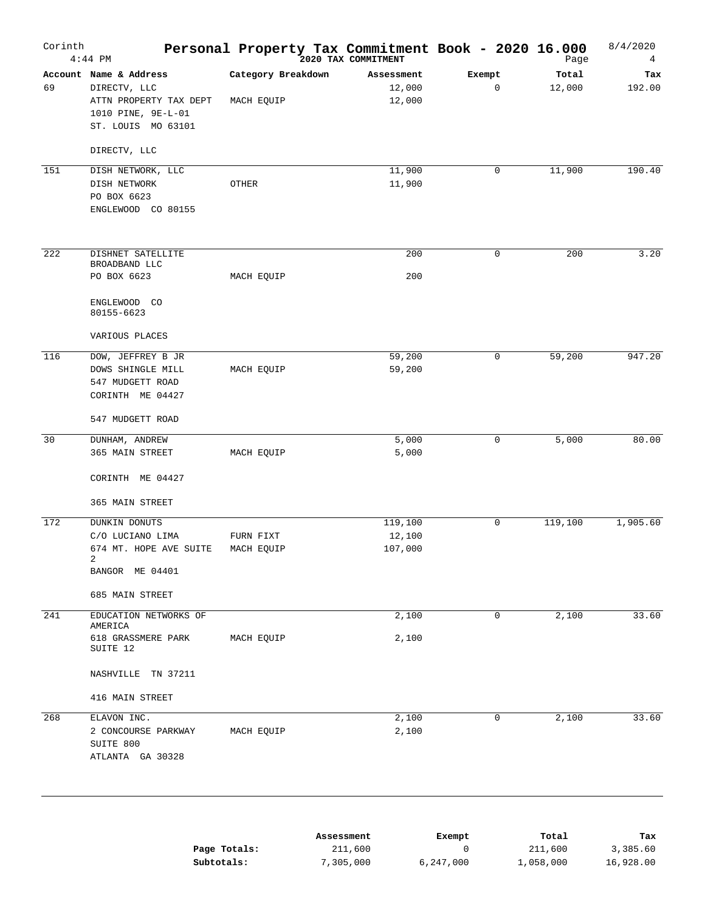| Corinth | $4:44$ PM                                                                                                    |                                  | Personal Property Tax Commitment Book - 2020 16.000 |                               | Page             | 8/4/2020<br>$\overline{4}$ |
|---------|--------------------------------------------------------------------------------------------------------------|----------------------------------|-----------------------------------------------------|-------------------------------|------------------|----------------------------|
| 69      | Account Name & Address<br>DIRECTV, LLC<br>ATTN PROPERTY TAX DEPT<br>1010 PINE, 9E-L-01<br>ST. LOUIS MO 63101 | Category Breakdown<br>MACH EQUIP | Assessment<br>12,000<br>12,000                      | Exempt<br>$\mathbf 0$         | Total<br>12,000  | Tax<br>192.00              |
|         | DIRECTV, LLC                                                                                                 |                                  |                                                     |                               |                  |                            |
| 151     | DISH NETWORK, LLC<br>DISH NETWORK<br>PO BOX 6623<br>ENGLEWOOD CO 80155                                       | OTHER                            | 11,900<br>11,900                                    | $\mathbf 0$                   | 11,900           | 190.40                     |
| 222     | DISHNET SATELLITE                                                                                            |                                  | 200                                                 | $\mathbf 0$                   | 200              | 3.20                       |
|         | BROADBAND LLC<br>PO BOX 6623                                                                                 | MACH EQUIP                       | 200                                                 |                               |                  |                            |
|         | ENGLEWOOD CO<br>80155-6623                                                                                   |                                  |                                                     |                               |                  |                            |
|         | VARIOUS PLACES                                                                                               |                                  |                                                     |                               |                  |                            |
| 116     | DOW, JEFFREY B JR<br>DOWS SHINGLE MILL<br>547 MUDGETT ROAD<br>CORINTH ME 04427                               | MACH EQUIP                       | 59,200<br>59,200                                    | $\mathbf 0$                   | 59,200           | 947.20                     |
|         | 547 MUDGETT ROAD                                                                                             |                                  |                                                     |                               |                  |                            |
| 30      | DUNHAM, ANDREW                                                                                               |                                  | 5,000                                               | 0                             | 5,000            | 80.00                      |
|         | 365 MAIN STREET<br>CORINTH ME 04427<br>365 MAIN STREET                                                       | MACH EQUIP                       | 5,000                                               |                               |                  |                            |
| 172     | DUNKIN DONUTS                                                                                                |                                  | 119,100                                             | $\mathbf 0$                   | 119,100          | 1,905.60                   |
|         | C/O LUCIANO LIMA<br>674 MT. HOPE AVE SUITE<br>2<br>BANGOR ME 04401                                           | FURN FIXT<br>MACH EQUIP          | 12,100<br>107,000                                   |                               |                  |                            |
|         | 685 MAIN STREET                                                                                              |                                  |                                                     |                               |                  |                            |
| 241     | EDUCATION NETWORKS OF                                                                                        |                                  | 2,100                                               | 0                             | 2,100            | 33.60                      |
|         | AMERICA<br>618 GRASSMERE PARK<br>SUITE 12                                                                    | MACH EQUIP                       | 2,100                                               |                               |                  |                            |
|         | NASHVILLE TN 37211                                                                                           |                                  |                                                     |                               |                  |                            |
|         | 416 MAIN STREET                                                                                              |                                  |                                                     |                               |                  |                            |
| 268     | ELAVON INC.<br>2 CONCOURSE PARKWAY<br>SUITE 800<br>ATLANTA GA 30328                                          | MACH EQUIP                       | 2,100<br>2,100                                      | $\mathbf 0$                   | 2,100            | 33.60                      |
|         |                                                                                                              | Page Totals:                     | Assessment<br>211,600                               | Exempt<br>$\mathsf{O}\xspace$ | Total<br>211,600 | Tax<br>3,385.60            |

|              |           | -------   | -----     | ----      |
|--------------|-----------|-----------|-----------|-----------|
| Page Totals: | 211,600   |           | 211,600   | 3,385.60  |
| Subtotals:   | 7,305,000 | 6,247,000 | 1,058,000 | 16,928.00 |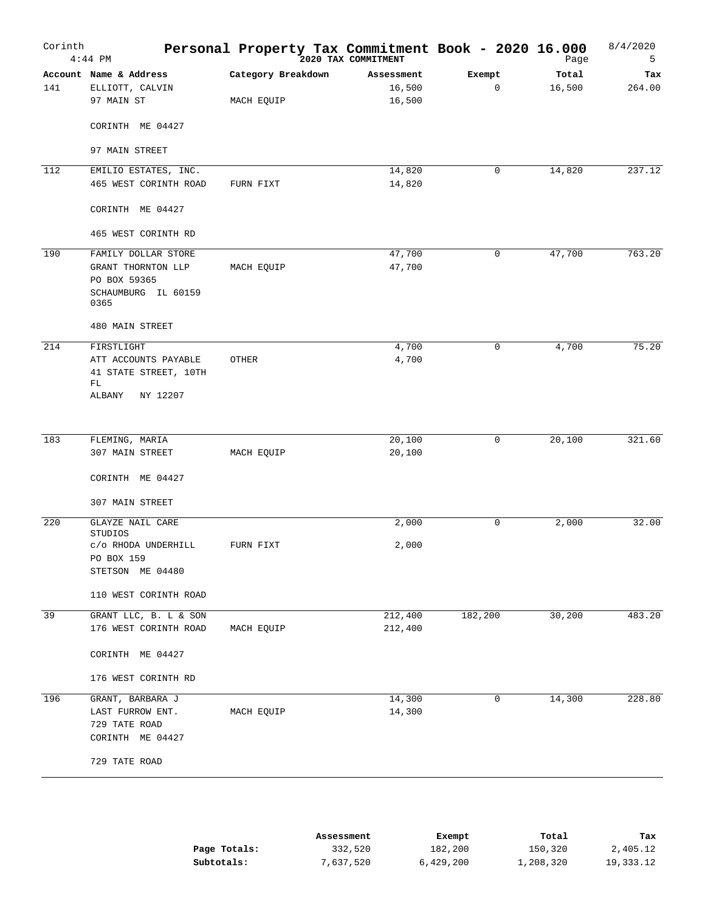| Corinth | $4:44$ PM                          | Personal Property Tax Commitment Book - 2020 16.000 | 2020 TAX COMMITMENT |         | Page   | 8/4/2020<br>5 |
|---------|------------------------------------|-----------------------------------------------------|---------------------|---------|--------|---------------|
|         | Account Name & Address             | Category Breakdown                                  | Assessment          | Exempt  | Total  | Tax           |
| 141     | ELLIOTT, CALVIN                    |                                                     | 16,500              | 0       | 16,500 | 264.00        |
|         | 97 MAIN ST                         | MACH EQUIP                                          | 16,500              |         |        |               |
|         | CORINTH ME 04427                   |                                                     |                     |         |        |               |
|         | 97 MAIN STREET                     |                                                     |                     |         |        |               |
| 112     | EMILIO ESTATES, INC.               |                                                     | 14,820              | 0       | 14,820 | 237.12        |
|         | 465 WEST CORINTH ROAD              | FURN FIXT                                           | 14,820              |         |        |               |
|         | CORINTH ME 04427                   |                                                     |                     |         |        |               |
|         | 465 WEST CORINTH RD                |                                                     |                     |         |        |               |
| 190     | FAMILY DOLLAR STORE                |                                                     | 47,700              | 0       | 47,700 | 763.20        |
|         | GRANT THORNTON LLP                 | MACH EQUIP                                          | 47,700              |         |        |               |
|         | PO BOX 59365                       |                                                     |                     |         |        |               |
|         | SCHAUMBURG IL 60159<br>0365        |                                                     |                     |         |        |               |
|         | 480 MAIN STREET                    |                                                     |                     |         |        |               |
| 214     | FIRSTLIGHT                         |                                                     | 4,700               | 0       | 4,700  | 75.20         |
|         | ATT ACCOUNTS PAYABLE               | OTHER                                               | 4,700               |         |        |               |
|         | 41 STATE STREET, 10TH              |                                                     |                     |         |        |               |
|         | FL                                 |                                                     |                     |         |        |               |
|         | ALBANY<br>NY 12207                 |                                                     |                     |         |        |               |
|         |                                    |                                                     |                     |         |        |               |
| 183     | FLEMING, MARIA                     |                                                     | 20,100              | 0       | 20,100 | 321.60        |
|         | 307 MAIN STREET                    | MACH EQUIP                                          | 20,100              |         |        |               |
|         | CORINTH ME 04427                   |                                                     |                     |         |        |               |
|         | 307 MAIN STREET                    |                                                     |                     |         |        |               |
| 220     | <b>GLAYZE NAIL CARE</b><br>STUDIOS |                                                     | 2,000               | 0       | 2,000  | 32.00         |
|         | c/o RHODA UNDERHILL                | FURN FIXT                                           | 2,000               |         |        |               |
|         | PO BOX 159                         |                                                     |                     |         |        |               |
|         | STETSON ME 04480                   |                                                     |                     |         |        |               |
|         | 110 WEST CORINTH ROAD              |                                                     |                     |         |        |               |
| 39      | GRANT LLC, B. L & SON              |                                                     | 212,400             | 182,200 | 30,200 | 483.20        |
|         | 176 WEST CORINTH ROAD              | MACH EQUIP                                          | 212,400             |         |        |               |
|         |                                    |                                                     |                     |         |        |               |
|         | CORINTH ME 04427                   |                                                     |                     |         |        |               |
|         | 176 WEST CORINTH RD                |                                                     |                     |         |        |               |
| 196     | GRANT, BARBARA J                   |                                                     | 14,300              | 0       | 14,300 | 228.80        |
|         | LAST FURROW ENT.                   | MACH EQUIP                                          | 14,300              |         |        |               |
|         | 729 TATE ROAD                      |                                                     |                     |         |        |               |
|         | CORINTH ME 04427                   |                                                     |                     |         |        |               |
|         | 729 TATE ROAD                      |                                                     |                     |         |        |               |
|         |                                    |                                                     |                     |         |        |               |

|              | Assessment | Exempt    | Total     | Tax       |
|--------------|------------|-----------|-----------|-----------|
| Page Totals: | 332,520    | 182,200   | 150,320   | 2,405.12  |
| Subtotals:   | 7,637,520  | 6,429,200 | 1,208,320 | 19,333.12 |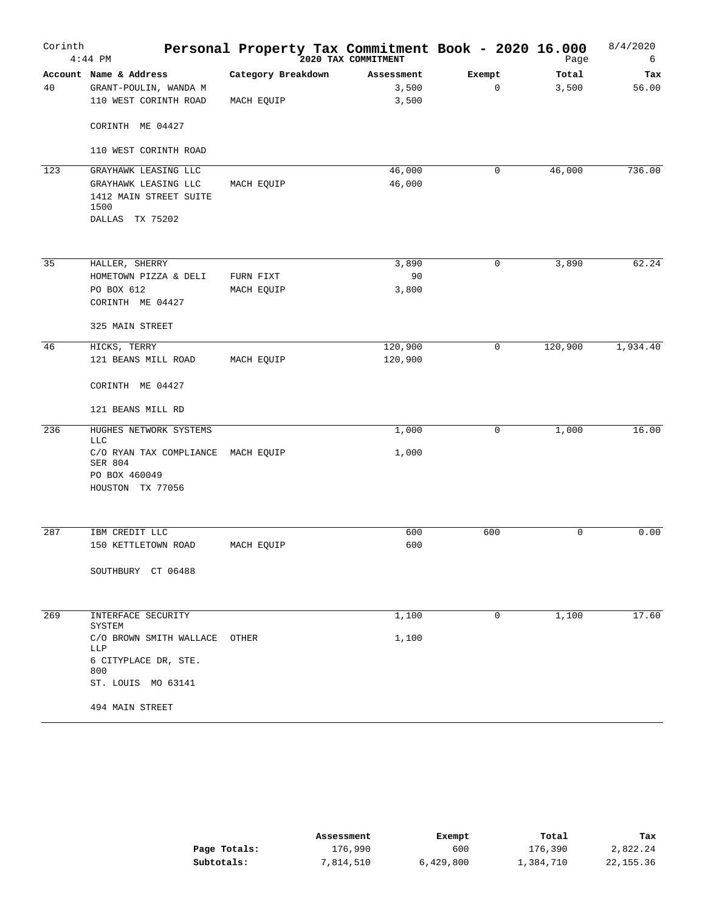| Corinth | $4:44$ PM                                            | Personal Property Tax Commitment Book - 2020 16.000 |                     |                       | Page           | 8/4/2020<br>6 |
|---------|------------------------------------------------------|-----------------------------------------------------|---------------------|-----------------------|----------------|---------------|
| 40      | Account Name & Address<br>GRANT-POULIN, WANDA M      | Category Breakdown                                  | Assessment<br>3,500 | Exempt<br>$\mathbf 0$ | Total<br>3,500 | Tax<br>56.00  |
|         | 110 WEST CORINTH ROAD                                | MACH EQUIP                                          | 3,500               |                       |                |               |
|         | CORINTH ME 04427                                     |                                                     |                     |                       |                |               |
|         | 110 WEST CORINTH ROAD                                |                                                     |                     |                       |                |               |
| 123     | GRAYHAWK LEASING LLC                                 |                                                     | 46,000              | 0                     | 46,000         | 736.00        |
|         | GRAYHAWK LEASING LLC                                 | MACH EQUIP                                          | 46,000              |                       |                |               |
|         | 1412 MAIN STREET SUITE<br>1500                       |                                                     |                     |                       |                |               |
|         | DALLAS TX 75202                                      |                                                     |                     |                       |                |               |
|         |                                                      |                                                     |                     |                       |                |               |
| 35      | HALLER, SHERRY<br>HOMETOWN PIZZA & DELI              |                                                     | 3,890<br>90         | $\mathbf 0$           | 3,890          | 62.24         |
|         | PO BOX 612                                           | FURN FIXT<br>MACH EQUIP                             | 3,800               |                       |                |               |
|         | CORINTH ME 04427                                     |                                                     |                     |                       |                |               |
|         | 325 MAIN STREET                                      |                                                     |                     |                       |                |               |
| 46      | HICKS, TERRY                                         |                                                     | 120,900             | 0                     | 120,900        | 1,934.40      |
|         | 121 BEANS MILL ROAD                                  | MACH EQUIP                                          | 120,900             |                       |                |               |
|         | CORINTH ME 04427                                     |                                                     |                     |                       |                |               |
|         | 121 BEANS MILL RD                                    |                                                     |                     |                       |                |               |
| 236     | HUGHES NETWORK SYSTEMS<br><b>LLC</b>                 |                                                     | 1,000               | 0                     | 1,000          | 16.00         |
|         | C/O RYAN TAX COMPLIANCE MACH EQUIP<br><b>SER 804</b> |                                                     | 1,000               |                       |                |               |
|         | PO BOX 460049<br>HOUSTON TX 77056                    |                                                     |                     |                       |                |               |
|         |                                                      |                                                     |                     |                       |                |               |
| 287     | IBM CREDIT LLC                                       |                                                     | 600                 | 600                   | 0              | 0.00          |
|         | 150 KETTLETOWN ROAD                                  | MACH EQUIP                                          | 600                 |                       |                |               |
|         | SOUTHBURY CT 06488                                   |                                                     |                     |                       |                |               |
| 269     | INTERFACE SECURITY                                   |                                                     | 1,100               | $\mathbf 0$           | 1,100          | 17.60         |
|         | SYSTEM<br>C/O BROWN SMITH WALLACE                    | OTHER                                               | 1,100               |                       |                |               |
|         | LLP<br>6 CITYPLACE DR, STE.                          |                                                     |                     |                       |                |               |
|         | 800                                                  |                                                     |                     |                       |                |               |
|         | ST. LOUIS MO 63141                                   |                                                     |                     |                       |                |               |
|         | 494 MAIN STREET                                      |                                                     |                     |                       |                |               |

|              | Assessment | Exempt    | Total     | Tax         |
|--------------|------------|-----------|-----------|-------------|
| Page Totals: | 176,990    | 600       | 176,390   | 2,822.24    |
| Subtotals:   | 7,814,510  | 6,429,800 | 1,384,710 | 22, 155, 36 |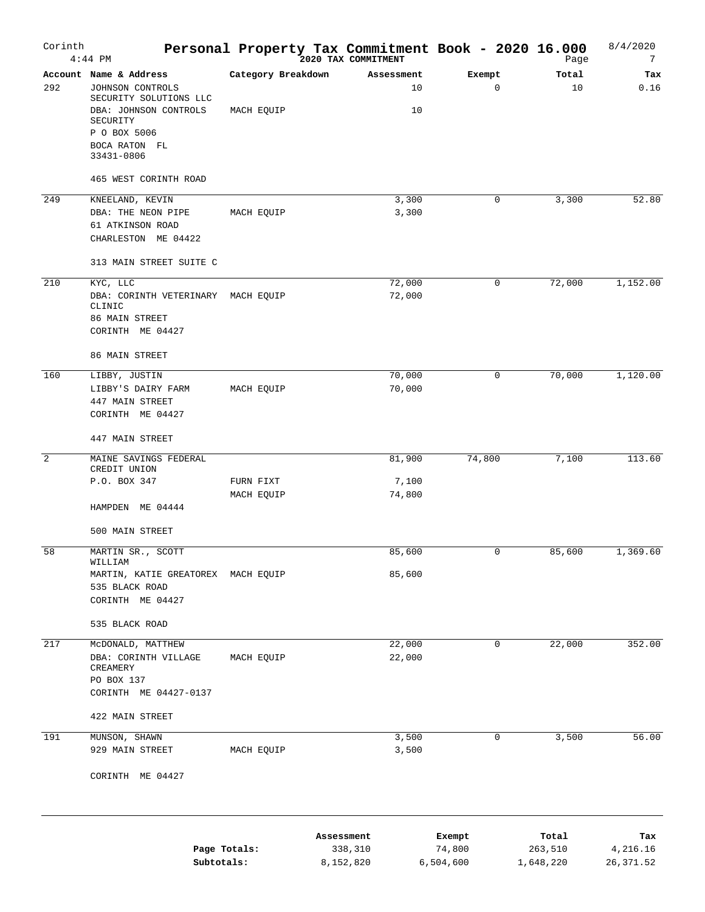| Corinth | $4:44$ PM                                                                                                                                                | Personal Property Tax Commitment Book - 2020 16.000 |                       |                        |                  |                  | 8/4/2020<br>7<br>Page |
|---------|----------------------------------------------------------------------------------------------------------------------------------------------------------|-----------------------------------------------------|-----------------------|------------------------|------------------|------------------|-----------------------|
| 292     | Account Name & Address<br>JOHNSON CONTROLS<br>SECURITY SOLUTIONS LLC<br>DBA: JOHNSON CONTROLS<br>SECURITY<br>P O BOX 5006<br>BOCA RATON FL<br>33431-0806 | Category Breakdown<br>MACH EQUIP                    |                       | Assessment<br>10<br>10 | Exempt<br>0      | Total            | Tax<br>0.16<br>10     |
|         | 465 WEST CORINTH ROAD                                                                                                                                    |                                                     |                       |                        |                  |                  |                       |
| 249     | KNEELAND, KEVIN<br>DBA: THE NEON PIPE<br>61 ATKINSON ROAD<br>CHARLESTON ME 04422                                                                         | MACH EQUIP                                          |                       | 3,300<br>3,300         | 0                | 3,300            | 52.80                 |
|         | 313 MAIN STREET SUITE C                                                                                                                                  |                                                     |                       |                        |                  |                  |                       |
| 210     | KYC, LLC<br>DBA: CORINTH VETERINARY MACH EQUIP<br>CLINIC<br>86 MAIN STREET<br>CORINTH ME 04427<br>86 MAIN STREET                                         |                                                     |                       | 72,000<br>72,000       | 0                | 72,000           | 1,152.00              |
| 160     |                                                                                                                                                          |                                                     |                       |                        | 0                | 70,000           | 1,120.00              |
|         | LIBBY, JUSTIN<br>LIBBY'S DAIRY FARM<br>447 MAIN STREET<br>CORINTH ME 04427<br>447 MAIN STREET                                                            | MACH EQUIP                                          |                       | 70,000<br>70,000       |                  |                  |                       |
| 2       | MAINE SAVINGS FEDERAL                                                                                                                                    |                                                     |                       | 81,900                 | 74,800           | 7,100            | 113.60                |
|         | CREDIT UNION<br>P.O. BOX 347<br>HAMPDEN ME 04444                                                                                                         | FURN FIXT<br>MACH EQUIP                             |                       | 7,100<br>74,800        |                  |                  |                       |
|         | 500 MAIN STREET                                                                                                                                          |                                                     |                       |                        |                  |                  |                       |
| 58      | MARTIN SR., SCOTT<br>WILLIAM<br>MARTIN, KATIE GREATOREX MACH EQUIP<br>535 BLACK ROAD<br>CORINTH ME 04427<br>535 BLACK ROAD                               |                                                     |                       | 85,600<br>85,600       | 0                | 85,600           | 1,369.60              |
| 217     | MCDONALD, MATTHEW                                                                                                                                        |                                                     |                       | 22,000                 | 0                | 22,000           | 352.00                |
|         | DBA: CORINTH VILLAGE<br>CREAMERY<br>PO BOX 137<br>CORINTH ME 04427-0137<br>422 MAIN STREET                                                               | MACH EQUIP                                          |                       | 22,000                 |                  |                  |                       |
| 191     | MUNSON, SHAWN                                                                                                                                            |                                                     |                       | 3,500                  | 0                | 3,500            | 56.00                 |
|         | 929 MAIN STREET<br>CORINTH ME 04427                                                                                                                      | MACH EQUIP                                          |                       | 3,500                  |                  |                  |                       |
|         | Page Totals:                                                                                                                                             |                                                     | Assessment<br>338,310 |                        | Exempt<br>74,800 | Total<br>263,510 | Tax<br>4,216.16       |

**Subtotals:** 8,152,820 6,504,600 1,648,220 26,371.52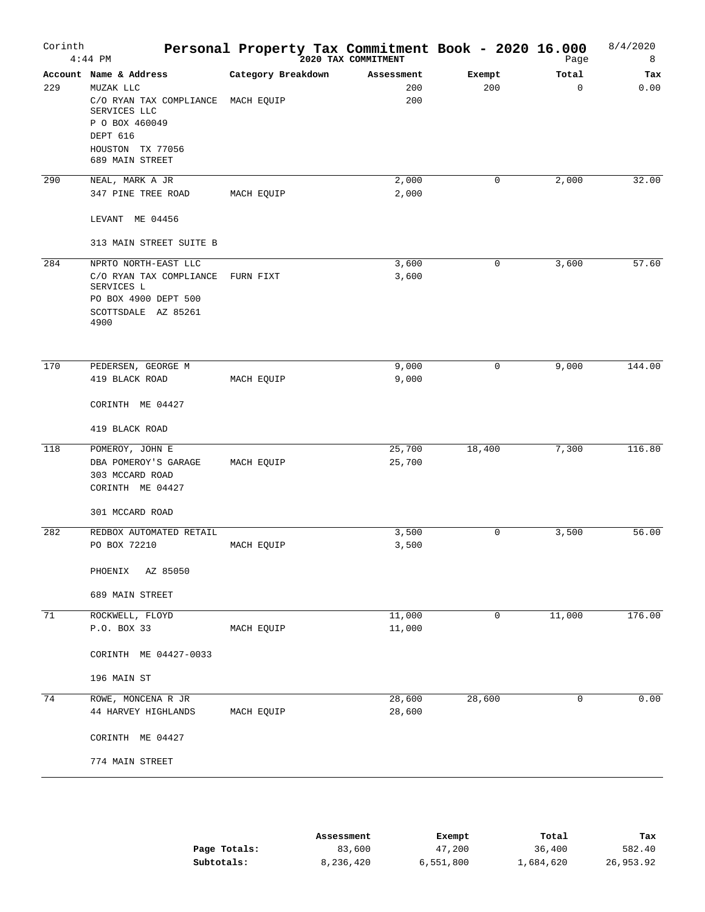| Corinth | $4:44$ PM                                                                                                                                                      | Personal Property Tax Commitment Book - 2020 16.000 |                          |               | Page                 | 8/4/2020<br>8 |
|---------|----------------------------------------------------------------------------------------------------------------------------------------------------------------|-----------------------------------------------------|--------------------------|---------------|----------------------|---------------|
| 229     | Account Name & Address<br>MUZAK LLC<br>C/O RYAN TAX COMPLIANCE MACH EQUIP<br>SERVICES LLC<br>P O BOX 460049<br>DEPT 616<br>HOUSTON TX 77056<br>689 MAIN STREET | Category Breakdown                                  | Assessment<br>200<br>200 | Exempt<br>200 | Total<br>$\mathbf 0$ | Tax<br>0.00   |
| 290     | NEAL, MARK A JR                                                                                                                                                |                                                     | 2,000                    | 0             | 2,000                | 32.00         |
|         | 347 PINE TREE ROAD                                                                                                                                             | MACH EQUIP                                          | 2,000                    |               |                      |               |
|         | LEVANT ME 04456                                                                                                                                                |                                                     |                          |               |                      |               |
|         | 313 MAIN STREET SUITE B                                                                                                                                        |                                                     |                          |               |                      |               |
| 284     | NPRTO NORTH-EAST LLC<br>C/O RYAN TAX COMPLIANCE<br>SERVICES L<br>PO BOX 4900 DEPT 500<br>SCOTTSDALE AZ 85261<br>4900                                           | FURN FIXT                                           | 3,600<br>3,600           | 0             | 3,600                | 57.60         |
| 170     | PEDERSEN, GEORGE M                                                                                                                                             |                                                     | 9,000                    | 0             | 9,000                | 144.00        |
|         | 419 BLACK ROAD                                                                                                                                                 | MACH EQUIP                                          | 9,000                    |               |                      |               |
|         | CORINTH ME 04427                                                                                                                                               |                                                     |                          |               |                      |               |
|         | 419 BLACK ROAD                                                                                                                                                 |                                                     |                          |               |                      |               |
| 118     | POMEROY, JOHN E<br>DBA POMEROY'S GARAGE<br>303 MCCARD ROAD<br>CORINTH ME 04427                                                                                 | MACH EQUIP                                          | 25,700<br>25,700         | 18,400        | 7,300                | 116.80        |
|         | 301 MCCARD ROAD                                                                                                                                                |                                                     |                          |               |                      |               |
| 282     | REDBOX AUTOMATED RETAIL                                                                                                                                        |                                                     | 3,500                    | 0             | 3,500                | 56.00         |
|         | PO BOX 72210                                                                                                                                                   | MACH EQUIP                                          | 3,500                    |               |                      |               |
|         | AZ 85050<br>PHOENIX                                                                                                                                            |                                                     |                          |               |                      |               |
|         | 689 MAIN STREET                                                                                                                                                |                                                     |                          |               |                      |               |
| 71      | ROCKWELL, FLOYD                                                                                                                                                |                                                     | 11,000                   | 0             | 11,000               | 176.00        |
|         | P.O. BOX 33                                                                                                                                                    | MACH EQUIP                                          | 11,000                   |               |                      |               |
|         | CORINTH ME 04427-0033                                                                                                                                          |                                                     |                          |               |                      |               |
|         | 196 MAIN ST                                                                                                                                                    |                                                     |                          |               |                      |               |
| 74      | ROWE, MONCENA R JR<br>44 HARVEY HIGHLANDS                                                                                                                      | MACH EQUIP                                          | 28,600<br>28,600         | 28,600        | 0                    | 0.00          |
|         | CORINTH ME 04427                                                                                                                                               |                                                     |                          |               |                      |               |
|         | 774 MAIN STREET                                                                                                                                                |                                                     |                          |               |                      |               |
|         |                                                                                                                                                                |                                                     |                          |               |                      |               |

|              | Assessment | Exempt    | Total     | Tax       |
|--------------|------------|-----------|-----------|-----------|
| Page Totals: | 83,600     | 47,200    | 36,400    | 582.40    |
| Subtotals:   | 8,236,420  | 6,551,800 | 1,684,620 | 26,953.92 |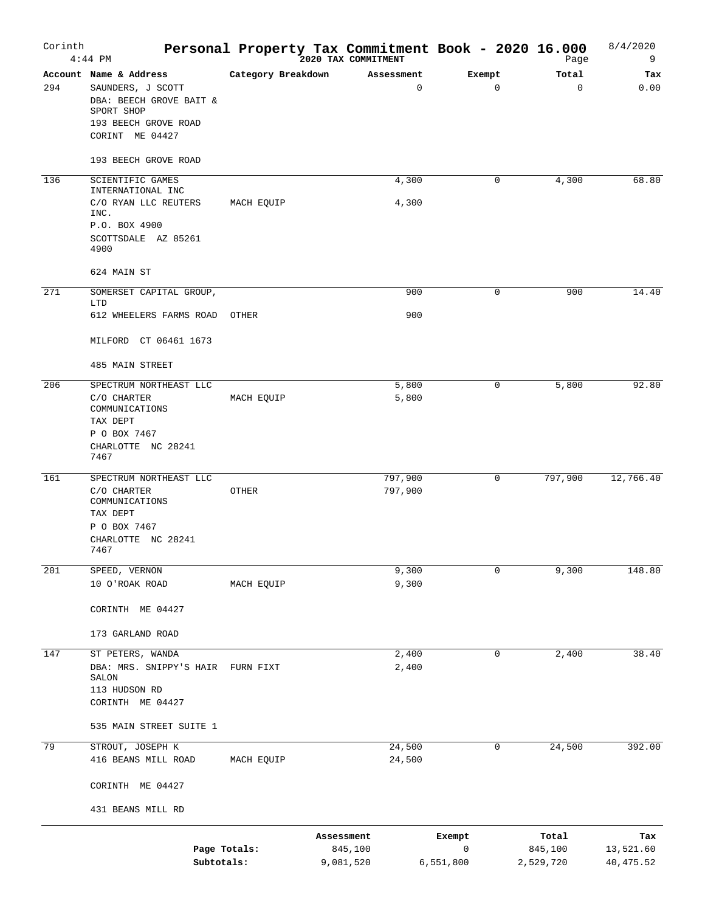| Corinth | $4:44$ PM                                                                                                                            |                    |                         | Personal Property Tax Commitment Book - 2020 16.000<br>2020 TAX COMMITMENT |                          | Page                          | 8/4/2020<br>9                  |
|---------|--------------------------------------------------------------------------------------------------------------------------------------|--------------------|-------------------------|----------------------------------------------------------------------------|--------------------------|-------------------------------|--------------------------------|
| 294     | Account Name & Address<br>SAUNDERS, J SCOTT<br>DBA: BEECH GROVE BAIT &<br>SPORT SHOP<br>193 BEECH GROVE ROAD<br>CORINT ME 04427      | Category Breakdown |                         | Assessment<br>0                                                            | Exempt<br>$\mathbf 0$    | Total<br>$\mathbf 0$          | Tax<br>0.00                    |
|         | 193 BEECH GROVE ROAD                                                                                                                 |                    |                         |                                                                            |                          |                               |                                |
| 136     | SCIENTIFIC GAMES<br>INTERNATIONAL INC<br>C/O RYAN LLC REUTERS<br>INC.<br>P.O. BOX 4900<br>SCOTTSDALE AZ 85261<br>4900<br>624 MAIN ST | MACH EQUIP         |                         | 4,300<br>4,300                                                             | 0                        | 4,300                         | 68.80                          |
|         |                                                                                                                                      |                    |                         |                                                                            |                          |                               |                                |
| 271     | SOMERSET CAPITAL GROUP,<br>LTD<br>612 WHEELERS FARMS ROAD<br>MILFORD CT 06461 1673<br>485 MAIN STREET                                | OTHER              |                         | 900<br>900                                                                 | 0                        | 900                           | 14.40                          |
| 206     | SPECTRUM NORTHEAST LLC<br>C/O CHARTER<br>COMMUNICATIONS<br>TAX DEPT<br>P O BOX 7467<br>CHARLOTTE NC 28241<br>7467                    | MACH EQUIP         |                         | 5,800<br>5,800                                                             | 0                        | 5,800                         | 92.80                          |
| 161     | SPECTRUM NORTHEAST LLC<br>C/O CHARTER<br>COMMUNICATIONS<br>TAX DEPT<br>P O BOX 7467<br>CHARLOTTE NC 28241<br>7467                    | OTHER              |                         | 797,900<br>797,900                                                         | 0                        | 797,900                       | 12,766.40                      |
| 201     | SPEED, VERNON<br>10 O'ROAK ROAD<br>CORINTH ME 04427<br>173 GARLAND ROAD                                                              | MACH EQUIP         |                         | 9,300<br>9,300                                                             | 0                        | 9,300                         | 148.80                         |
| 147     | ST PETERS, WANDA<br>DBA: MRS. SNIPPY'S HAIR<br>SALON<br>113 HUDSON RD<br>CORINTH ME 04427                                            | FURN FIXT          |                         | 2,400<br>2,400                                                             | 0                        | 2,400                         | 38.40                          |
|         | 535 MAIN STREET SUITE 1                                                                                                              |                    |                         |                                                                            |                          |                               |                                |
| 79      | STROUT, JOSEPH K<br>416 BEANS MILL ROAD<br>CORINTH ME 04427                                                                          | MACH EQUIP         |                         | 24,500<br>24,500                                                           | 0                        | 24,500                        | 392.00                         |
|         | 431 BEANS MILL RD                                                                                                                    |                    |                         |                                                                            |                          |                               |                                |
|         | Page Totals:<br>Subtotals:                                                                                                           |                    | Assessment<br>9,081,520 | 845,100                                                                    | Exempt<br>0<br>6,551,800 | Total<br>845,100<br>2,529,720 | Tax<br>13,521.60<br>40, 475.52 |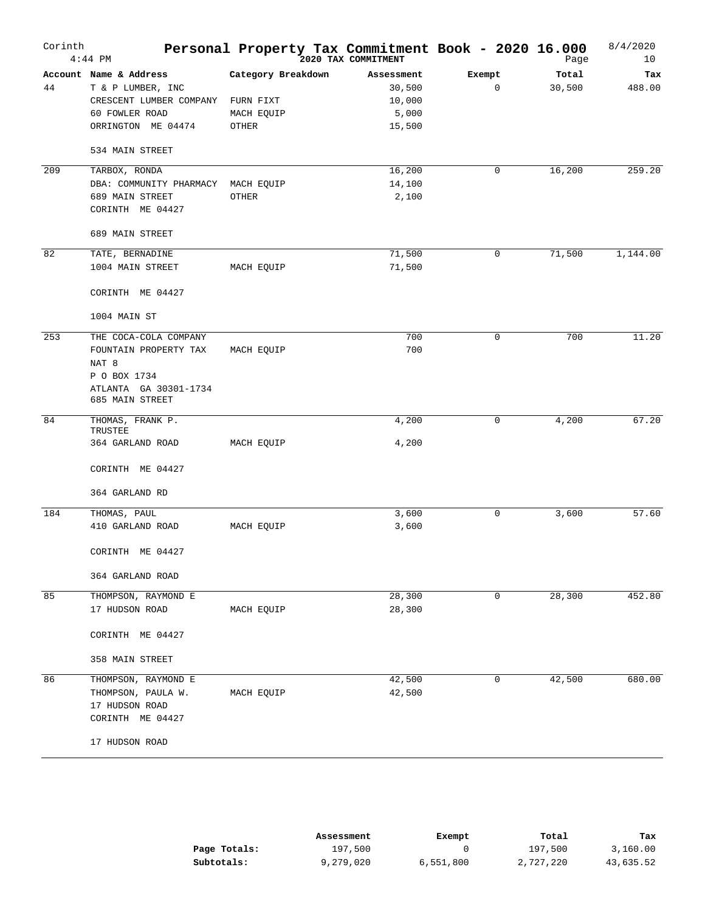| Corinth | $4:44$ PM                                 | Personal Property Tax Commitment Book - 2020 16.000 | 2020 TAX COMMITMENT |        | Page   | 8/4/2020<br>10 |
|---------|-------------------------------------------|-----------------------------------------------------|---------------------|--------|--------|----------------|
|         | Account Name & Address                    | Category Breakdown                                  | Assessment          | Exempt | Total  | Tax            |
| 44      | T & P LUMBER, INC                         |                                                     | 30,500              | 0      | 30,500 | 488.00         |
|         | CRESCENT LUMBER COMPANY<br>60 FOWLER ROAD | FURN FIXT                                           | 10,000              |        |        |                |
|         | ORRINGTON ME 04474                        | MACH EQUIP<br>OTHER                                 | 5,000<br>15,500     |        |        |                |
|         |                                           |                                                     |                     |        |        |                |
|         | 534 MAIN STREET                           |                                                     |                     |        |        |                |
| 209     | TARBOX, RONDA                             |                                                     | 16,200              | 0      | 16,200 | 259.20         |
|         | DBA: COMMUNITY PHARMACY                   | MACH EQUIP                                          | 14,100              |        |        |                |
|         | 689 MAIN STREET                           | OTHER                                               | 2,100               |        |        |                |
|         | CORINTH ME 04427                          |                                                     |                     |        |        |                |
|         | 689 MAIN STREET                           |                                                     |                     |        |        |                |
| 82      | TATE, BERNADINE                           |                                                     | 71,500              | 0      | 71,500 | 1,144.00       |
|         | 1004 MAIN STREET                          | MACH EQUIP                                          | 71,500              |        |        |                |
|         | CORINTH ME 04427                          |                                                     |                     |        |        |                |
|         | 1004 MAIN ST                              |                                                     |                     |        |        |                |
| 253     | THE COCA-COLA COMPANY                     |                                                     | 700                 | 0      | 700    | 11.20          |
|         | FOUNTAIN PROPERTY TAX                     | MACH EQUIP                                          | 700                 |        |        |                |
|         | NAT <sup>8</sup>                          |                                                     |                     |        |        |                |
|         | P O BOX 1734                              |                                                     |                     |        |        |                |
|         | ATLANTA GA 30301-1734<br>685 MAIN STREET  |                                                     |                     |        |        |                |
|         |                                           |                                                     |                     |        |        |                |
| 84      | THOMAS, FRANK P.<br>TRUSTEE               |                                                     | 4,200               | 0      | 4,200  | 67.20          |
|         | 364 GARLAND ROAD                          | MACH EQUIP                                          | 4,200               |        |        |                |
|         | CORINTH ME 04427                          |                                                     |                     |        |        |                |
|         |                                           |                                                     |                     |        |        |                |
|         | 364 GARLAND RD                            |                                                     |                     |        |        |                |
| 184     | THOMAS, PAUL                              |                                                     | 3,600               | 0      | 3,600  | 57.60          |
|         | 410 GARLAND ROAD                          | MACH EQUIP                                          | 3,600               |        |        |                |
|         | CORINTH ME 04427                          |                                                     |                     |        |        |                |
|         | 364 GARLAND ROAD                          |                                                     |                     |        |        |                |
| 85      | THOMPSON, RAYMOND E                       |                                                     | 28,300              | 0      | 28,300 | 452.80         |
|         | 17 HUDSON ROAD                            | MACH EQUIP                                          | 28,300              |        |        |                |
|         | CORINTH ME 04427                          |                                                     |                     |        |        |                |
|         | 358 MAIN STREET                           |                                                     |                     |        |        |                |
| 86      | THOMPSON, RAYMOND E                       |                                                     | 42,500              | 0      | 42,500 | 680.00         |
|         | THOMPSON, PAULA W.                        | MACH EQUIP                                          | 42,500              |        |        |                |
|         | 17 HUDSON ROAD                            |                                                     |                     |        |        |                |
|         | CORINTH ME 04427                          |                                                     |                     |        |        |                |
|         | 17 HUDSON ROAD                            |                                                     |                     |        |        |                |

|              | Assessment | Exempt    | Total     | Tax       |
|--------------|------------|-----------|-----------|-----------|
| Page Totals: | 197,500    |           | 197,500   | 3,160.00  |
| Subtotals:   | 9,279,020  | 6,551,800 | 2,727,220 | 43,635.52 |